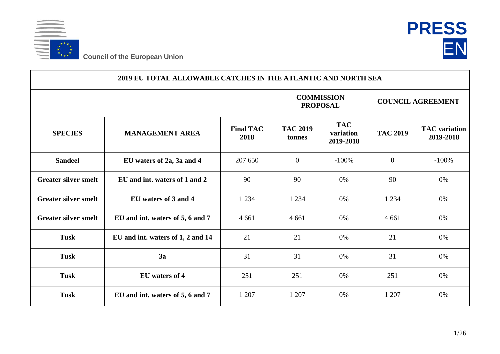



| 2019 EU TOTAL ALLOWABLE CATCHES IN THE ATLANTIC AND NORTH SEA |                                   |                          |                                      |                                      |                          |                                   |  |  |
|---------------------------------------------------------------|-----------------------------------|--------------------------|--------------------------------------|--------------------------------------|--------------------------|-----------------------------------|--|--|
|                                                               |                                   |                          | <b>COMMISSION</b><br><b>PROPOSAL</b> |                                      | <b>COUNCIL AGREEMENT</b> |                                   |  |  |
| <b>SPECIES</b>                                                | <b>MANAGEMENT AREA</b>            | <b>Final TAC</b><br>2018 | <b>TAC 2019</b><br>tonnes            | <b>TAC</b><br>variation<br>2019-2018 | <b>TAC 2019</b>          | <b>TAC</b> variation<br>2019-2018 |  |  |
| <b>Sandeel</b>                                                | EU waters of 2a, 3a and 4         | 207 650                  | $\overline{0}$                       | $-100%$                              | $\overline{0}$           | $-100%$                           |  |  |
| <b>Greater silver smelt</b>                                   | EU and int. waters of 1 and 2     | 90                       | 90                                   | 0%                                   | 90                       | 0%                                |  |  |
| <b>Greater silver smelt</b>                                   | EU waters of 3 and 4              | 1 2 3 4                  | 1 2 3 4                              | 0%                                   | 1 2 3 4                  | 0%                                |  |  |
| <b>Greater silver smelt</b>                                   | EU and int. waters of 5, 6 and 7  | 4 6 6 1                  | 4 6 6 1                              | 0%                                   | 4 6 6 1                  | 0%                                |  |  |
| <b>Tusk</b>                                                   | EU and int. waters of 1, 2 and 14 | 21                       | 21                                   | 0%                                   | 21                       | 0%                                |  |  |
| <b>Tusk</b>                                                   | 3a                                | 31                       | 31                                   | 0%                                   | 31                       | 0%                                |  |  |
| <b>Tusk</b>                                                   | EU waters of 4                    | 251                      | 251                                  | 0%                                   | 251                      | 0%                                |  |  |
| <b>Tusk</b>                                                   | EU and int. waters of 5, 6 and 7  | 1 207                    | 1 207                                | 0%                                   | 1 207                    | 0%                                |  |  |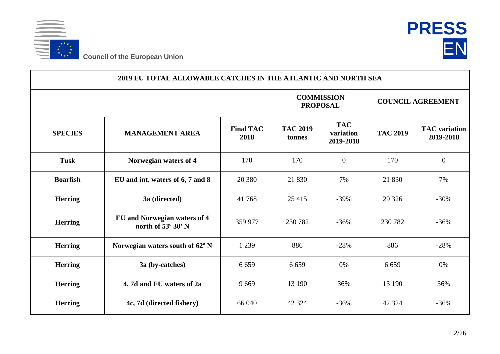



| 2019 EU TOTAL ALLOWABLE CATCHES IN THE ATLANTIC AND NORTH SEA |                                                    |                                      |                           |                                      |                 |                                   |  |  |
|---------------------------------------------------------------|----------------------------------------------------|--------------------------------------|---------------------------|--------------------------------------|-----------------|-----------------------------------|--|--|
|                                                               |                                                    | <b>COMMISSION</b><br><b>PROPOSAL</b> |                           | <b>COUNCIL AGREEMENT</b>             |                 |                                   |  |  |
| <b>SPECIES</b>                                                | <b>MANAGEMENT AREA</b>                             | <b>Final TAC</b><br>2018             | <b>TAC 2019</b><br>tonnes | <b>TAC</b><br>variation<br>2019-2018 | <b>TAC 2019</b> | <b>TAC</b> variation<br>2019-2018 |  |  |
| <b>Tusk</b>                                                   | Norwegian waters of 4                              | 170                                  | 170                       | $\theta$                             | 170             | $\overline{0}$                    |  |  |
| <b>Boarfish</b>                                               | EU and int. waters of 6, 7 and 8                   | 20 380                               | 21 830                    | 7%                                   | 21 830          | 7%                                |  |  |
| <b>Herring</b>                                                | 3a (directed)                                      | 41 768                               | 25 4 15                   | $-39%$                               | 29 3 26         | $-30%$                            |  |  |
| <b>Herring</b>                                                | EU and Norwegian waters of 4<br>north of 53° 30' N | 359 977                              | 230 782                   | $-36%$                               | 230 782         | $-36%$                            |  |  |
| <b>Herring</b>                                                | Norwegian waters south of 62° N                    | 1 2 3 9                              | 886                       | $-28%$                               | 886             | $-28%$                            |  |  |
| <b>Herring</b>                                                | 3a (by-catches)                                    | 6 6 5 9                              | 6 6 5 9                   | 0%                                   | 6 6 5 9         | 0%                                |  |  |
| <b>Herring</b>                                                | 4, 7d and EU waters of 2a                          | 9669                                 | 13 190                    | 36%                                  | 13 190          | 36%                               |  |  |
| <b>Herring</b>                                                | 4c, 7d (directed fishery)                          | 66 040                               | 42 3 24                   | $-36%$                               | 42 3 24         | $-36%$                            |  |  |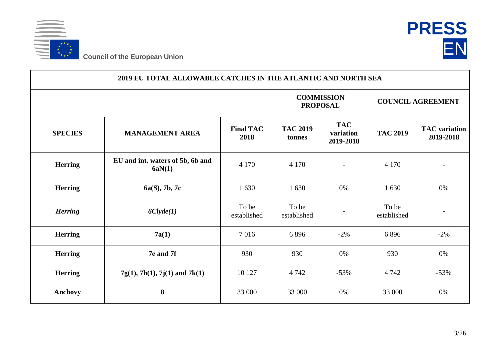



|                | 2019 EU TOTAL ALLOWABLE CATCHES IN THE ATLANTIC AND NORTH SEA |                          |                                      |                                      |                          |                                   |  |  |  |  |
|----------------|---------------------------------------------------------------|--------------------------|--------------------------------------|--------------------------------------|--------------------------|-----------------------------------|--|--|--|--|
|                |                                                               |                          | <b>COMMISSION</b><br><b>PROPOSAL</b> |                                      | <b>COUNCIL AGREEMENT</b> |                                   |  |  |  |  |
| <b>SPECIES</b> | <b>MANAGEMENT AREA</b>                                        | <b>Final TAC</b><br>2018 | <b>TAC 2019</b><br>tonnes            | <b>TAC</b><br>variation<br>2019-2018 | <b>TAC 2019</b>          | <b>TAC</b> variation<br>2019-2018 |  |  |  |  |
| <b>Herring</b> | EU and int. waters of 5b, 6b and<br>6aN(1)                    | 4 1 7 0                  | 4 1 7 0                              |                                      | 4 1 7 0                  | $\overline{a}$                    |  |  |  |  |
| <b>Herring</b> | 6a(S), 7b, 7c                                                 | 1 630                    | 1 630                                | 0%                                   | 1 630                    | 0%                                |  |  |  |  |
| <b>Herring</b> | 6Clyde(1)                                                     | To be<br>established     | To be<br>established                 |                                      | To be<br>established     | $\overline{\phantom{a}}$          |  |  |  |  |
| <b>Herring</b> | 7a(1)                                                         | 7016                     | 6896                                 | $-2\%$                               | 6896                     | $-2\%$                            |  |  |  |  |
| <b>Herring</b> | 7e and 7f                                                     | 930                      | 930                                  | 0%                                   | 930                      | 0%                                |  |  |  |  |
| <b>Herring</b> | $7g(1), 7h(1), 7j(1)$ and $7k(1)$                             | 10 127                   | 4 7 4 2                              | $-53%$                               | 4 7 4 2                  | $-53%$                            |  |  |  |  |
| <b>Anchovy</b> | 8                                                             | 33 000                   | 33 000                               | 0%                                   | 33 000                   | 0%                                |  |  |  |  |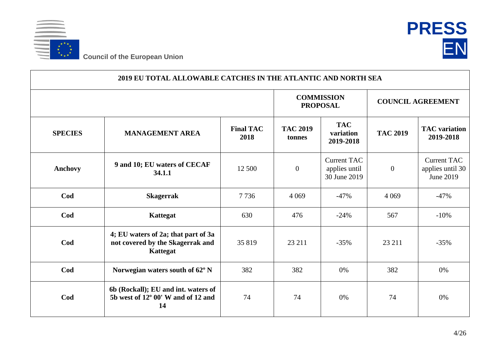



|                | 2019 EU TOTAL ALLOWABLE CATCHES IN THE ATLANTIC AND NORTH SEA                       |                          |                                      |                                                     |                          |                                                     |
|----------------|-------------------------------------------------------------------------------------|--------------------------|--------------------------------------|-----------------------------------------------------|--------------------------|-----------------------------------------------------|
|                |                                                                                     |                          | <b>COMMISSION</b><br><b>PROPOSAL</b> |                                                     | <b>COUNCIL AGREEMENT</b> |                                                     |
| <b>SPECIES</b> | <b>MANAGEMENT AREA</b>                                                              | <b>Final TAC</b><br>2018 | <b>TAC 2019</b><br>tonnes            | <b>TAC</b><br>variation<br>2019-2018                | <b>TAC 2019</b>          | <b>TAC</b> variation<br>2019-2018                   |
| <b>Anchovy</b> | 9 and 10; EU waters of CECAF<br>34.1.1                                              | 12 500                   | $\boldsymbol{0}$                     | <b>Current TAC</b><br>applies until<br>30 June 2019 | $\mathbf{0}$             | <b>Current TAC</b><br>applies until 30<br>June 2019 |
| Cod            | <b>Skagerrak</b>                                                                    | 7736                     | 4 0 6 9                              | $-47%$                                              | 4 0 6 9                  | $-47%$                                              |
| Cod            | Kattegat                                                                            | 630                      | 476                                  | $-24%$                                              | 567                      | $-10%$                                              |
| Cod            | 4; EU waters of 2a; that part of 3a<br>not covered by the Skagerrak and<br>Kattegat | 35 819                   | 23 211                               | $-35%$                                              | 23 211                   | $-35%$                                              |
| Cod            | Norwegian waters south of 62° N                                                     | 382                      | 382                                  | 0%                                                  | 382                      | 0%                                                  |
| Cod            | 6b (Rockall); EU and int. waters of<br>5b west of 12° 00' W and of 12 and<br>14     | 74                       | 74                                   | 0%                                                  | 74                       | 0%                                                  |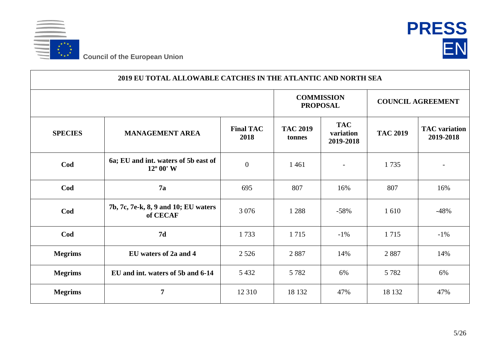



| 2019 EU TOTAL ALLOWABLE CATCHES IN THE ATLANTIC AND NORTH SEA |                                                            |                          |                                      |                                      |                          |                                   |  |  |
|---------------------------------------------------------------|------------------------------------------------------------|--------------------------|--------------------------------------|--------------------------------------|--------------------------|-----------------------------------|--|--|
|                                                               |                                                            |                          | <b>COMMISSION</b><br><b>PROPOSAL</b> |                                      | <b>COUNCIL AGREEMENT</b> |                                   |  |  |
| <b>SPECIES</b>                                                | <b>MANAGEMENT AREA</b>                                     | <b>Final TAC</b><br>2018 | <b>TAC 2019</b><br>tonnes            | <b>TAC</b><br>variation<br>2019-2018 | <b>TAC 2019</b>          | <b>TAC</b> variation<br>2019-2018 |  |  |
| Cod                                                           | 6a; EU and int. waters of 5b east of<br>$12^{\circ} 00' W$ | $\boldsymbol{0}$         | 1 4 6 1                              |                                      | 1735                     |                                   |  |  |
| Cod                                                           | 7a                                                         | 695                      | 807                                  | 16%                                  | 807                      | 16%                               |  |  |
| Cod                                                           | 7b, 7c, 7e-k, 8, 9 and 10; EU waters<br>of CECAF           | 3 0 7 6                  | 1 2 8 8                              | $-58%$                               | 1610                     | $-48%$                            |  |  |
| Cod                                                           | 7d                                                         | 1733                     | 1715                                 | $-1\%$                               | 1715                     | $-1\%$                            |  |  |
| <b>Megrims</b>                                                | EU waters of 2a and 4                                      | 2 5 2 6                  | 2887                                 | 14%                                  | 2887                     | 14%                               |  |  |
| <b>Megrims</b>                                                | EU and int. waters of 5b and 6-14                          | 5 4 3 2                  | 5 7 8 2                              | 6%                                   | 5 7 8 2                  | 6%                                |  |  |
| <b>Megrims</b>                                                | $\overline{7}$                                             | 12 3 10                  | 18 132                               | 47%                                  | 18 132                   | 47%                               |  |  |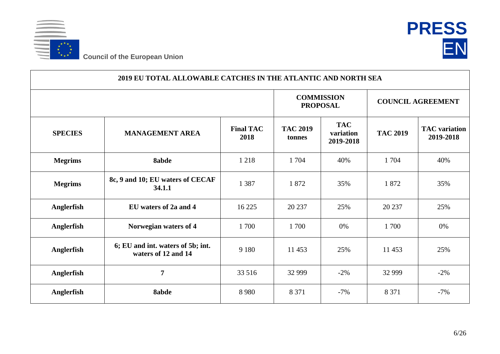



| 2019 EU TOTAL ALLOWABLE CATCHES IN THE ATLANTIC AND NORTH SEA |                                                          |                          |                                      |                                      |                          |                                   |  |  |  |
|---------------------------------------------------------------|----------------------------------------------------------|--------------------------|--------------------------------------|--------------------------------------|--------------------------|-----------------------------------|--|--|--|
|                                                               |                                                          |                          | <b>COMMISSION</b><br><b>PROPOSAL</b> |                                      | <b>COUNCIL AGREEMENT</b> |                                   |  |  |  |
| <b>SPECIES</b>                                                | <b>MANAGEMENT AREA</b>                                   | <b>Final TAC</b><br>2018 | <b>TAC 2019</b><br>tonnes            | <b>TAC</b><br>variation<br>2019-2018 | <b>TAC 2019</b>          | <b>TAC</b> variation<br>2019-2018 |  |  |  |
| <b>Megrims</b>                                                | <b>8abde</b>                                             | 1 2 1 8                  | 1704                                 | 40%                                  | 1 704                    | 40%                               |  |  |  |
| <b>Megrims</b>                                                | 8c, 9 and 10; EU waters of CECAF<br>34.1.1               | 1 3 8 7                  | 1872                                 | 35%                                  | 1872                     | 35%                               |  |  |  |
| Anglerfish                                                    | EU waters of 2a and 4                                    | 16 225                   | 20 237                               | 25%                                  | 20 237                   | 25%                               |  |  |  |
| Anglerfish                                                    | Norwegian waters of 4                                    | 1700                     | 1700                                 | 0%                                   | 1700                     | 0%                                |  |  |  |
| <b>Anglerfish</b>                                             | 6; EU and int. waters of 5b; int.<br>waters of 12 and 14 | 9 1 8 0                  | 11 453                               | 25%                                  | 11 453                   | 25%                               |  |  |  |
| Anglerfish                                                    | $\overline{7}$                                           | 33 516                   | 32 999                               | $-2\%$                               | 32 999                   | $-2\%$                            |  |  |  |
| Anglerfish                                                    | 8abde                                                    | 8 9 8 0                  | 8 3 7 1                              | $-7%$                                | 8 3 7 1                  | $-7%$                             |  |  |  |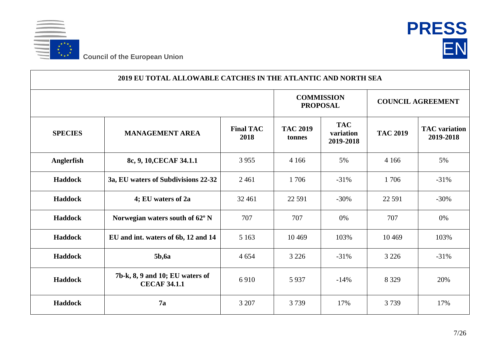



| 2019 EU TOTAL ALLOWABLE CATCHES IN THE ATLANTIC AND NORTH SEA |                                                        |                          |                           |                                      |                          |                                   |  |  |
|---------------------------------------------------------------|--------------------------------------------------------|--------------------------|---------------------------|--------------------------------------|--------------------------|-----------------------------------|--|--|
|                                                               |                                                        |                          |                           | <b>COMMISSION</b><br><b>PROPOSAL</b> | <b>COUNCIL AGREEMENT</b> |                                   |  |  |
| <b>SPECIES</b>                                                | <b>MANAGEMENT AREA</b>                                 | <b>Final TAC</b><br>2018 | <b>TAC 2019</b><br>tonnes | <b>TAC</b><br>variation<br>2019-2018 | <b>TAC 2019</b>          | <b>TAC</b> variation<br>2019-2018 |  |  |
| Anglerfish                                                    | 8c, 9, 10, CECAF 34.1.1                                | 3 9 5 5                  | 4 1 6 6                   | 5%                                   | 4 1 6 6                  | 5%                                |  |  |
| <b>Haddock</b>                                                | 3a, EU waters of Subdivisions 22-32                    | 2461                     | 1706                      | $-31%$                               | 1706                     | $-31%$                            |  |  |
| <b>Haddock</b>                                                | 4; EU waters of 2a                                     | 32 4 61                  | 22 5 91                   | $-30%$                               | 22 5 91                  | $-30%$                            |  |  |
| <b>Haddock</b>                                                | Norwegian waters south of 62° N                        | 707                      | 707                       | 0%                                   | 707                      | 0%                                |  |  |
| <b>Haddock</b>                                                | EU and int. waters of 6b, 12 and 14                    | 5 1 6 3                  | 10 4 69                   | 103%                                 | 10 4 69                  | 103%                              |  |  |
| <b>Haddock</b>                                                | <b>5b,6a</b>                                           | 4 6 5 4                  | 3 2 2 6                   | $-31%$                               | 3 2 2 6                  | $-31%$                            |  |  |
| <b>Haddock</b>                                                | 7b-k, 8, 9 and 10; EU waters of<br><b>CECAF 34.1.1</b> | 6910                     | 5937                      | $-14%$                               | 8 3 2 9                  | 20%                               |  |  |
| <b>Haddock</b>                                                | 7a                                                     | 3 207                    | 3739                      | 17%                                  | 3739                     | 17%                               |  |  |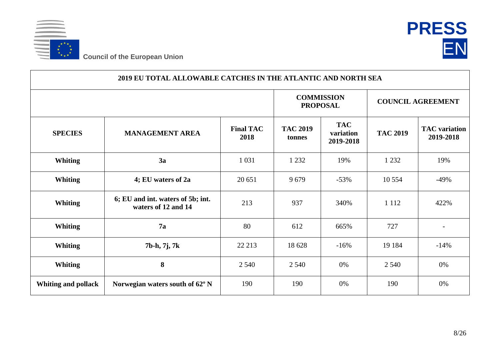



| 2019 EU TOTAL ALLOWABLE CATCHES IN THE ATLANTIC AND NORTH SEA |                                                          |                          |                                      |                                      |                          |                                   |  |  |  |
|---------------------------------------------------------------|----------------------------------------------------------|--------------------------|--------------------------------------|--------------------------------------|--------------------------|-----------------------------------|--|--|--|
|                                                               |                                                          |                          | <b>COMMISSION</b><br><b>PROPOSAL</b> |                                      | <b>COUNCIL AGREEMENT</b> |                                   |  |  |  |
| <b>SPECIES</b>                                                | <b>MANAGEMENT AREA</b>                                   | <b>Final TAC</b><br>2018 | <b>TAC 2019</b><br>tonnes            | <b>TAC</b><br>variation<br>2019-2018 | <b>TAC 2019</b>          | <b>TAC</b> variation<br>2019-2018 |  |  |  |
| <b>Whiting</b>                                                | 3a                                                       | 1 0 3 1                  | 1 2 3 2                              | 19%                                  | 1 2 3 2                  | 19%                               |  |  |  |
| <b>Whiting</b>                                                | 4; EU waters of 2a                                       | 20 651                   | 9679                                 | $-53%$                               | 10 5 5 4                 | $-49%$                            |  |  |  |
| <b>Whiting</b>                                                | 6; EU and int. waters of 5b; int.<br>waters of 12 and 14 | 213                      | 937                                  | 340%                                 | 1 1 1 2                  | 422%                              |  |  |  |
| <b>Whiting</b>                                                | 7a                                                       | 80                       | 612                                  | 665%                                 | 727                      | $\overline{\phantom{a}}$          |  |  |  |
| <b>Whiting</b>                                                | 7b-h, 7j, 7k                                             | 22 213                   | 18 628                               | $-16%$                               | 19 184                   | $-14%$                            |  |  |  |
| <b>Whiting</b>                                                | 8                                                        | 2 5 4 0                  | 2 5 4 0                              | 0%                                   | 2 5 4 0                  | 0%                                |  |  |  |
| <b>Whiting and pollack</b>                                    | Norwegian waters south of 62° N                          | 190                      | 190                                  | 0%                                   | 190                      | 0%                                |  |  |  |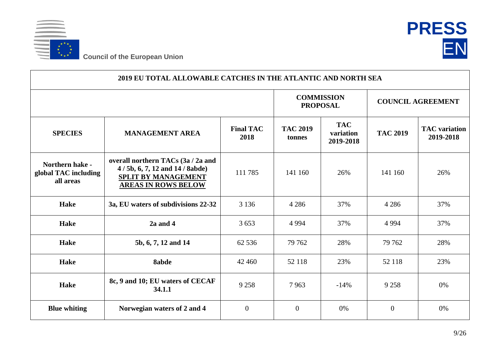



| 2019 EU TOTAL ALLOWABLE CATCHES IN THE ATLANTIC AND NORTH SEA |                                                                                                                                |                                      |                           |                                      |                 |                                   |  |  |
|---------------------------------------------------------------|--------------------------------------------------------------------------------------------------------------------------------|--------------------------------------|---------------------------|--------------------------------------|-----------------|-----------------------------------|--|--|
|                                                               |                                                                                                                                | <b>COMMISSION</b><br><b>PROPOSAL</b> |                           | <b>COUNCIL AGREEMENT</b>             |                 |                                   |  |  |
| <b>SPECIES</b>                                                | <b>MANAGEMENT AREA</b>                                                                                                         | <b>Final TAC</b><br>2018             | <b>TAC 2019</b><br>tonnes | <b>TAC</b><br>variation<br>2019-2018 | <b>TAC 2019</b> | <b>TAC</b> variation<br>2019-2018 |  |  |
| Northern hake -<br>global TAC including<br>all areas          | overall northern TACs (3a / 2a and<br>4/5b, 6, 7, 12 and 14/8abde)<br><b>SPLIT BY MANAGEMENT</b><br><b>AREAS IN ROWS BELOW</b> | 111 785                              | 141 160                   | 26%                                  | 141 160         | 26%                               |  |  |
| <b>Hake</b>                                                   | 3a, EU waters of subdivisions 22-32                                                                                            | 3 1 3 6                              | 4 2 8 6                   | 37%                                  | 4 2 8 6         | 37%                               |  |  |
| <b>Hake</b>                                                   | $2a$ and $4$                                                                                                                   | 3 6 5 3                              | 4 9 9 4                   | 37%                                  | 4 9 9 4         | 37%                               |  |  |
| <b>Hake</b>                                                   | 5b, 6, 7, 12 and 14                                                                                                            | 62 536                               | 79 762                    | 28%                                  | 79 762          | 28%                               |  |  |
| <b>Hake</b>                                                   | 8abde                                                                                                                          | 42 4 6 0                             | 52 118                    | 23%                                  | 52 118          | 23%                               |  |  |
| <b>Hake</b>                                                   | 8c, 9 and 10; EU waters of CECAF<br>34.1.1                                                                                     | 9 2 5 8                              | 7963                      | $-14%$                               | 9 2 5 8         | 0%                                |  |  |
| <b>Blue whiting</b>                                           | Norwegian waters of 2 and 4                                                                                                    | $\overline{0}$                       | $\overline{0}$            | 0%                                   | $\overline{0}$  | 0%                                |  |  |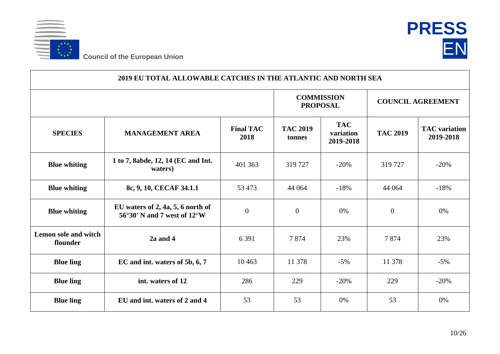



| 2019 EU TOTAL ALLOWABLE CATCHES IN THE ATLANTIC AND NORTH SEA |                                                                                                |                          |                                      |                                      |                          |                                   |  |  |
|---------------------------------------------------------------|------------------------------------------------------------------------------------------------|--------------------------|--------------------------------------|--------------------------------------|--------------------------|-----------------------------------|--|--|
|                                                               |                                                                                                |                          | <b>COMMISSION</b><br><b>PROPOSAL</b> |                                      | <b>COUNCIL AGREEMENT</b> |                                   |  |  |
| <b>SPECIES</b>                                                | <b>MANAGEMENT AREA</b>                                                                         | <b>Final TAC</b><br>2018 | <b>TAC 2019</b><br>tonnes            | <b>TAC</b><br>variation<br>2019-2018 | <b>TAC 2019</b>          | <b>TAC</b> variation<br>2019-2018 |  |  |
| <b>Blue whiting</b>                                           | 1 to 7, 8abde, 12, 14 (EC and Int.<br>waters)                                                  | 401 363                  | 319 727                              | $-20%$                               | 319 727                  | $-20%$                            |  |  |
| <b>Blue whiting</b>                                           | 8c, 9, 10, CECAF 34.1.1                                                                        | 53 473                   | 44 0 64                              | $-18%$                               | 44 064                   | $-18%$                            |  |  |
| <b>Blue whiting</b>                                           | EU waters of $2$ , $4a$ , $5$ , $6$ north of<br>$56^{\circ}30'$ N and 7 west of $12^{\circ}$ W | $\overline{0}$           | $\overline{0}$                       | 0%                                   | $\overline{0}$           | 0%                                |  |  |
| Lemon sole and witch<br>flounder                              | $2a$ and $4$                                                                                   | 6 3 9 1                  | 7874                                 | 23%                                  | 7874                     | 23%                               |  |  |
| <b>Blue ling</b>                                              | EC and int. waters of 5b, 6, 7                                                                 | 10463                    | 11 378                               | $-5%$                                | 11 378                   | $-5%$                             |  |  |
| <b>Blue ling</b>                                              | int. waters of 12                                                                              | 286                      | 229                                  | $-20%$                               | 229                      | $-20%$                            |  |  |
| <b>Blue ling</b>                                              | EU and int. waters of 2 and 4                                                                  | 53                       | 53                                   | 0%                                   | 53                       | 0%                                |  |  |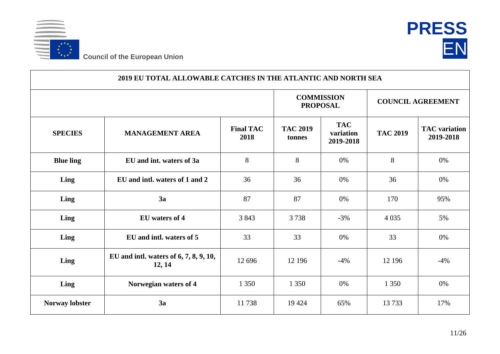



| 2019 EU TOTAL ALLOWABLE CATCHES IN THE ATLANTIC AND NORTH SEA |                                                  |                          |                                      |                                      |                          |                                   |  |  |
|---------------------------------------------------------------|--------------------------------------------------|--------------------------|--------------------------------------|--------------------------------------|--------------------------|-----------------------------------|--|--|
|                                                               |                                                  |                          | <b>COMMISSION</b><br><b>PROPOSAL</b> |                                      | <b>COUNCIL AGREEMENT</b> |                                   |  |  |
| <b>SPECIES</b>                                                | <b>MANAGEMENT AREA</b>                           | <b>Final TAC</b><br>2018 | <b>TAC 2019</b><br>tonnes            | <b>TAC</b><br>variation<br>2019-2018 | <b>TAC 2019</b>          | <b>TAC</b> variation<br>2019-2018 |  |  |
| <b>Blue ling</b>                                              | EU and int. waters of 3a                         | 8                        | 8                                    | 0%                                   | 8                        | 0%                                |  |  |
| Ling                                                          | EU and intl. waters of 1 and 2                   | 36                       | 36                                   | 0%                                   | 36                       | 0%                                |  |  |
| Ling                                                          | 3a                                               | 87                       | 87                                   | 0%                                   | 170                      | 95%                               |  |  |
| Ling                                                          | EU waters of 4                                   | 3843                     | 3738                                 | $-3%$                                | 4 0 3 5                  | 5%                                |  |  |
| Ling                                                          | EU and intl. waters of 5                         | 33                       | 33                                   | 0%                                   | 33                       | 0%                                |  |  |
| Ling                                                          | EU and intl. waters of 6, 7, 8, 9, 10,<br>12, 14 | 12 696                   | 12 19 6                              | $-4%$                                | 12 19 6                  | $-4%$                             |  |  |
| Ling                                                          | Norwegian waters of 4                            | 1 3 5 0                  | 1 3 5 0                              | 0%                                   | 1 3 5 0                  | 0%                                |  |  |
| Norway lobster                                                | 3a                                               | 11738                    | 19 4 24                              | 65%                                  | 13733                    | 17%                               |  |  |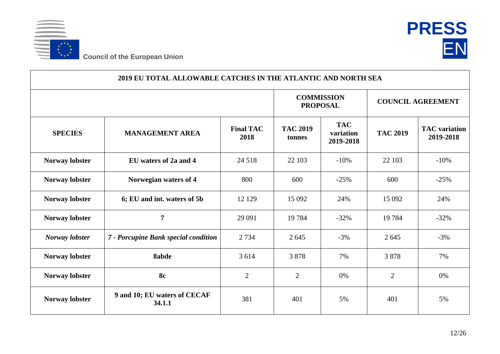



|                       | 2019 EU TOTAL ALLOWABLE CATCHES IN THE ATLANTIC AND NORTH SEA |                          |                                      |                                      |                          |                                   |  |  |  |
|-----------------------|---------------------------------------------------------------|--------------------------|--------------------------------------|--------------------------------------|--------------------------|-----------------------------------|--|--|--|
|                       |                                                               |                          | <b>COMMISSION</b><br><b>PROPOSAL</b> |                                      | <b>COUNCIL AGREEMENT</b> |                                   |  |  |  |
| <b>SPECIES</b>        | <b>MANAGEMENT AREA</b>                                        | <b>Final TAC</b><br>2018 | <b>TAC 2019</b><br>tonnes            | <b>TAC</b><br>variation<br>2019-2018 | <b>TAC 2019</b>          | <b>TAC</b> variation<br>2019-2018 |  |  |  |
| Norway lobster        | EU waters of 2a and 4                                         | 24 5 18                  | 22 103                               | $-10%$                               | 22 103                   | $-10%$                            |  |  |  |
| Norway lobster        | Norwegian waters of 4                                         | 800                      | 600                                  | $-25%$                               | 600                      | $-25%$                            |  |  |  |
| <b>Norway lobster</b> | 6; EU and int. waters of 5b                                   | 12 12 9                  | 15 092                               | 24%                                  | 15 092                   | 24%                               |  |  |  |
| Norway lobster        | $\overline{7}$                                                | 29 091                   | 19784                                | $-32%$                               | 19784                    | $-32%$                            |  |  |  |
| Norway lobster        | 7 - Porcupine Bank special condition                          | 2 7 3 4                  | 2645                                 | $-3%$                                | 2 6 4 5                  | $-3%$                             |  |  |  |
| <b>Norway lobster</b> | 8abde                                                         | 3 6 1 4                  | 3878                                 | 7%                                   | 3878                     | 7%                                |  |  |  |
| <b>Norway lobster</b> | 8c                                                            | $\overline{2}$           | $\overline{2}$                       | 0%                                   | 2                        | 0%                                |  |  |  |
| Norway lobster        | 9 and 10; EU waters of CECAF<br>34.1.1                        | 381                      | 401                                  | 5%                                   | 401                      | 5%                                |  |  |  |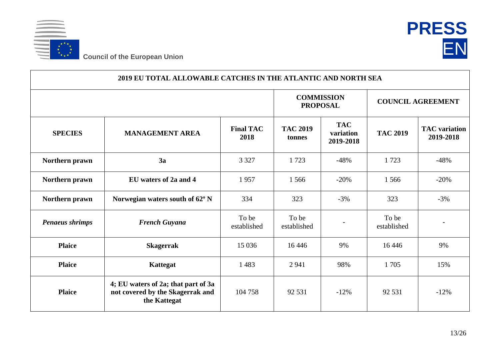



| 2019 EU TOTAL ALLOWABLE CATCHES IN THE ATLANTIC AND NORTH SEA |                                                                                         |                          |                                      |                                      |                          |                                   |  |  |
|---------------------------------------------------------------|-----------------------------------------------------------------------------------------|--------------------------|--------------------------------------|--------------------------------------|--------------------------|-----------------------------------|--|--|
|                                                               |                                                                                         |                          | <b>COMMISSION</b><br><b>PROPOSAL</b> |                                      | <b>COUNCIL AGREEMENT</b> |                                   |  |  |
| <b>SPECIES</b>                                                | <b>MANAGEMENT AREA</b>                                                                  | <b>Final TAC</b><br>2018 | <b>TAC 2019</b><br>tonnes            | <b>TAC</b><br>variation<br>2019-2018 | <b>TAC 2019</b>          | <b>TAC</b> variation<br>2019-2018 |  |  |
| Northern prawn                                                | 3a                                                                                      | 3 3 2 7                  | 1723                                 | $-48%$                               | 1723                     | $-48%$                            |  |  |
| Northern prawn                                                | EU waters of 2a and 4                                                                   | 1957                     | 1566                                 | $-20%$                               | 1566                     | $-20%$                            |  |  |
| Northern prawn                                                | Norwegian waters south of 62° N                                                         | 334                      | 323                                  | $-3%$                                | 323                      | $-3%$                             |  |  |
| <b>Penaeus shrimps</b>                                        | <b>French Guyana</b>                                                                    | To be<br>established     | To be<br>established                 |                                      | To be<br>established     |                                   |  |  |
| <b>Plaice</b>                                                 | <b>Skagerrak</b>                                                                        | 15 0 36                  | 16 4 46                              | 9%                                   | 16 4 46                  | 9%                                |  |  |
| <b>Plaice</b>                                                 | <b>Kattegat</b>                                                                         | 1483                     | 2941                                 | 98%                                  | 1705                     | 15%                               |  |  |
| <b>Plaice</b>                                                 | 4; EU waters of 2a; that part of 3a<br>not covered by the Skagerrak and<br>the Kattegat | 104 758                  | 92 531                               | $-12%$                               | 92 531                   | $-12%$                            |  |  |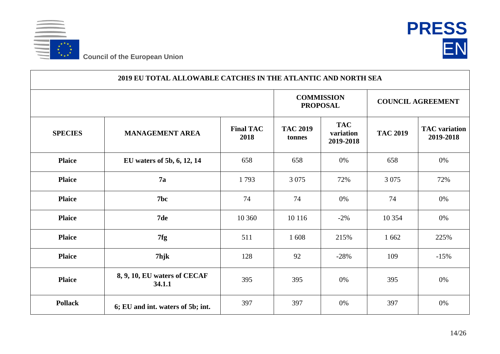



|                | 2019 EU TOTAL ALLOWABLE CATCHES IN THE ATLANTIC AND NORTH SEA |                          |                                      |                                      |                          |                                   |  |  |  |
|----------------|---------------------------------------------------------------|--------------------------|--------------------------------------|--------------------------------------|--------------------------|-----------------------------------|--|--|--|
|                |                                                               |                          | <b>COMMISSION</b><br><b>PROPOSAL</b> |                                      | <b>COUNCIL AGREEMENT</b> |                                   |  |  |  |
| <b>SPECIES</b> | <b>MANAGEMENT AREA</b>                                        | <b>Final TAC</b><br>2018 | <b>TAC 2019</b><br>tonnes            | <b>TAC</b><br>variation<br>2019-2018 | <b>TAC 2019</b>          | <b>TAC</b> variation<br>2019-2018 |  |  |  |
| <b>Plaice</b>  | EU waters of 5b, 6, 12, 14                                    | 658                      | 658                                  | 0%                                   | 658                      | 0%                                |  |  |  |
| <b>Plaice</b>  | 7a                                                            | 1793                     | 3 0 7 5                              | 72%                                  | 3 0 7 5                  | 72%                               |  |  |  |
| <b>Plaice</b>  | 7bc                                                           | 74                       | 74                                   | 0%                                   | 74                       | 0%                                |  |  |  |
| <b>Plaice</b>  | 7de                                                           | 10 360                   | 10 116                               | $-2%$                                | 10 354                   | 0%                                |  |  |  |
| <b>Plaice</b>  | 7fg                                                           | 511                      | 1608                                 | 215%                                 | 1 6 6 2                  | 225%                              |  |  |  |
| <b>Plaice</b>  | 7hjk                                                          | 128                      | 92                                   | $-28%$                               | 109                      | $-15%$                            |  |  |  |
| <b>Plaice</b>  | 8, 9, 10, EU waters of CECAF<br>34.1.1                        | 395                      | 395                                  | 0%                                   | 395                      | 0%                                |  |  |  |
| <b>Pollack</b> | 6; EU and int. waters of 5b; int.                             | 397                      | 397                                  | 0%                                   | 397                      | 0%                                |  |  |  |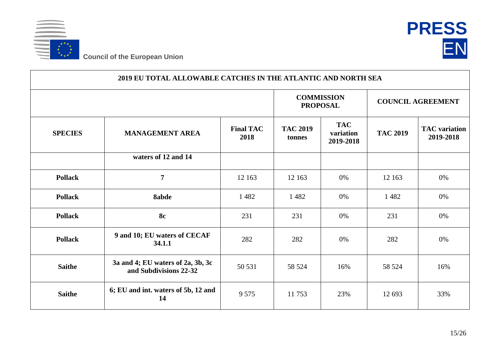



|                | 2019 EU TOTAL ALLOWABLE CATCHES IN THE ATLANTIC AND NORTH SEA |                          |                                      |                                      |                          |                                   |  |  |  |
|----------------|---------------------------------------------------------------|--------------------------|--------------------------------------|--------------------------------------|--------------------------|-----------------------------------|--|--|--|
|                |                                                               |                          | <b>COMMISSION</b><br><b>PROPOSAL</b> |                                      | <b>COUNCIL AGREEMENT</b> |                                   |  |  |  |
| <b>SPECIES</b> | <b>MANAGEMENT AREA</b>                                        | <b>Final TAC</b><br>2018 | <b>TAC 2019</b><br>tonnes            | <b>TAC</b><br>variation<br>2019-2018 | <b>TAC 2019</b>          | <b>TAC</b> variation<br>2019-2018 |  |  |  |
|                | waters of 12 and 14                                           |                          |                                      |                                      |                          |                                   |  |  |  |
| <b>Pollack</b> | $\overline{7}$                                                | 12 163                   | 12 163                               | 0%                                   | 12 163                   | 0%                                |  |  |  |
| <b>Pollack</b> | 8abde                                                         | 1482                     | 1482                                 | 0%                                   | 1482                     | 0%                                |  |  |  |
| <b>Pollack</b> | <b>8c</b>                                                     | 231                      | 231                                  | 0%                                   | 231                      | 0%                                |  |  |  |
| <b>Pollack</b> | 9 and 10; EU waters of CECAF<br>34.1.1                        | 282                      | 282                                  | 0%                                   | 282                      | 0%                                |  |  |  |
| <b>Saithe</b>  | 3a and 4; EU waters of 2a, 3b, 3c<br>and Subdivisions 22-32   | 50 531                   | 58 524                               | 16%                                  | 58 524                   | 16%                               |  |  |  |
| <b>Saithe</b>  | 6; EU and int. waters of 5b, 12 and<br>14                     | 9 5 7 5                  | 11753                                | 23%                                  | 12 693                   | 33%                               |  |  |  |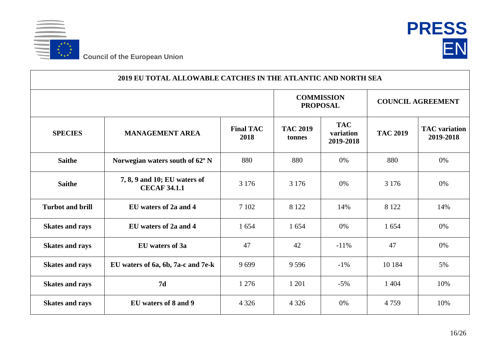



| 2019 EU TOTAL ALLOWABLE CATCHES IN THE ATLANTIC AND NORTH SEA |                                                     |                          |                                      |                                      |                          |                                   |  |  |
|---------------------------------------------------------------|-----------------------------------------------------|--------------------------|--------------------------------------|--------------------------------------|--------------------------|-----------------------------------|--|--|
|                                                               |                                                     |                          | <b>COMMISSION</b><br><b>PROPOSAL</b> |                                      | <b>COUNCIL AGREEMENT</b> |                                   |  |  |
| <b>SPECIES</b>                                                | <b>MANAGEMENT AREA</b>                              | <b>Final TAC</b><br>2018 | <b>TAC 2019</b><br>tonnes            | <b>TAC</b><br>variation<br>2019-2018 | <b>TAC 2019</b>          | <b>TAC</b> variation<br>2019-2018 |  |  |
| <b>Saithe</b>                                                 | Norwegian waters south of 62° N                     | 880                      | 880                                  | 0%                                   | 880                      | 0%                                |  |  |
| <b>Saithe</b>                                                 | 7, 8, 9 and 10; EU waters of<br><b>CECAF 34.1.1</b> | 3 1 7 6                  | 3 1 7 6                              | 0%                                   | 3 1 7 6                  | 0%                                |  |  |
| <b>Turbot and brill</b>                                       | EU waters of 2a and 4                               | 7 1 0 2                  | 8 1 2 2                              | 14%                                  | 8 1 2 2                  | 14%                               |  |  |
| <b>Skates and rays</b>                                        | EU waters of 2a and 4                               | 1 654                    | 1654                                 | 0%                                   | 1654                     | 0%                                |  |  |
| <b>Skates and rays</b>                                        | EU waters of 3a                                     | 47                       | 42                                   | $-11\%$                              | 47                       | 0%                                |  |  |
| <b>Skates and rays</b>                                        | EU waters of 6a, 6b, 7a-c and 7e-k                  | 9699                     | 9 5 9 6                              | $-1\%$                               | 10 184                   | 5%                                |  |  |
| <b>Skates and rays</b>                                        | 7d                                                  | 1 2 7 6                  | 1 201                                | $-5%$                                | 1 4 0 4                  | 10%                               |  |  |
| <b>Skates and rays</b>                                        | EU waters of 8 and 9                                | 4 3 2 6                  | 4 3 2 6                              | 0%                                   | 4759                     | 10%                               |  |  |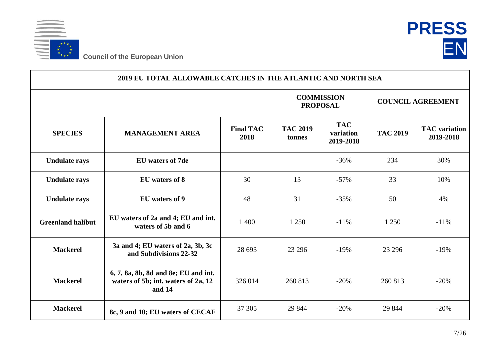



| 2019 EU TOTAL ALLOWABLE CATCHES IN THE ATLANTIC AND NORTH SEA |                                                                                       |                          |                                      |                                      |                          |                                   |  |  |
|---------------------------------------------------------------|---------------------------------------------------------------------------------------|--------------------------|--------------------------------------|--------------------------------------|--------------------------|-----------------------------------|--|--|
|                                                               |                                                                                       |                          | <b>COMMISSION</b><br><b>PROPOSAL</b> |                                      | <b>COUNCIL AGREEMENT</b> |                                   |  |  |
| <b>SPECIES</b>                                                | <b>MANAGEMENT AREA</b>                                                                | <b>Final TAC</b><br>2018 | <b>TAC 2019</b><br>tonnes            | <b>TAC</b><br>variation<br>2019-2018 | <b>TAC 2019</b>          | <b>TAC</b> variation<br>2019-2018 |  |  |
| <b>Undulate rays</b>                                          | <b>EU</b> waters of 7de                                                               |                          |                                      | $-36%$                               | 234                      | 30%                               |  |  |
| <b>Undulate rays</b>                                          | EU waters of 8                                                                        | 30                       | 13                                   | $-57%$                               | 33                       | 10%                               |  |  |
| <b>Undulate rays</b>                                          | EU waters of 9                                                                        | 48                       | 31                                   | $-35%$                               | 50                       | 4%                                |  |  |
| <b>Greenland halibut</b>                                      | EU waters of 2a and 4; EU and int.<br>waters of 5b and 6                              | 1 400                    | 1 250                                | $-11\%$                              | 1 2 5 0                  | $-11%$                            |  |  |
| <b>Mackerel</b>                                               | 3a and 4; EU waters of 2a, 3b, 3c<br>and Subdivisions 22-32                           | 28 693                   | 23 29 6                              | $-19%$                               | 23 29 6                  | $-19%$                            |  |  |
| <b>Mackerel</b>                                               | 6, 7, 8a, 8b, 8d and 8e; EU and int.<br>waters of 5b; int. waters of 2a, 12<br>and 14 | 326 014                  | 260 813                              | $-20%$                               | 260 813                  | $-20%$                            |  |  |
| <b>Mackerel</b>                                               | 8c, 9 and 10; EU waters of CECAF                                                      | 37 30 5                  | 29 844                               | $-20%$                               | 29 844                   | $-20%$                            |  |  |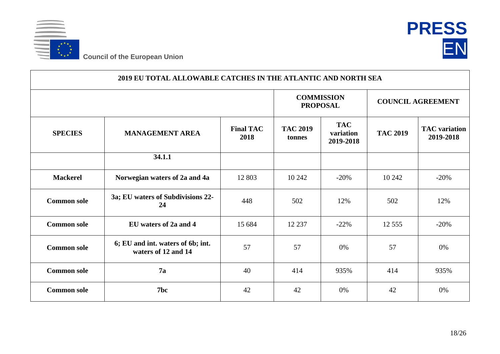



| 2019 EU TOTAL ALLOWABLE CATCHES IN THE ATLANTIC AND NORTH SEA |                                                          |                          |                                      |                                      |                          |                                   |  |  |  |
|---------------------------------------------------------------|----------------------------------------------------------|--------------------------|--------------------------------------|--------------------------------------|--------------------------|-----------------------------------|--|--|--|
|                                                               |                                                          |                          | <b>COMMISSION</b><br><b>PROPOSAL</b> |                                      | <b>COUNCIL AGREEMENT</b> |                                   |  |  |  |
| <b>SPECIES</b>                                                | <b>MANAGEMENT AREA</b>                                   | <b>Final TAC</b><br>2018 | <b>TAC 2019</b><br>tonnes            | <b>TAC</b><br>variation<br>2019-2018 | <b>TAC 2019</b>          | <b>TAC</b> variation<br>2019-2018 |  |  |  |
|                                                               | 34.1.1                                                   |                          |                                      |                                      |                          |                                   |  |  |  |
| <b>Mackerel</b>                                               | Norwegian waters of 2a and 4a                            | 12 803                   | 10 24 2                              | $-20%$                               | 10 24 2                  | $-20%$                            |  |  |  |
| <b>Common sole</b>                                            | 3a; EU waters of Subdivisions 22-<br>24                  | 448                      | 502                                  | 12%                                  | 502                      | 12%                               |  |  |  |
| <b>Common sole</b>                                            | EU waters of 2a and 4                                    | 15 684                   | 12 2 3 7                             | $-22%$                               | 12 5 5 5                 | $-20%$                            |  |  |  |
| <b>Common sole</b>                                            | 6; EU and int. waters of 6b; int.<br>waters of 12 and 14 | 57                       | 57                                   | 0%                                   | 57                       | 0%                                |  |  |  |
| <b>Common sole</b>                                            | 7a                                                       | 40                       | 414                                  | 935%                                 | 414                      | 935%                              |  |  |  |
| <b>Common sole</b>                                            | 7bc                                                      | 42                       | 42                                   | 0%                                   | 42                       | 0%                                |  |  |  |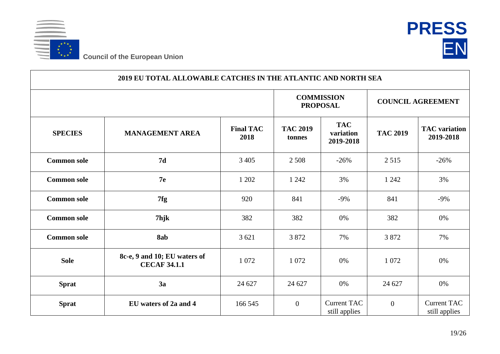



|                    | 2019 EU TOTAL ALLOWABLE CATCHES IN THE ATLANTIC AND NORTH SEA |                          |                                      |                                      |                 |                                     |  |  |  |
|--------------------|---------------------------------------------------------------|--------------------------|--------------------------------------|--------------------------------------|-----------------|-------------------------------------|--|--|--|
|                    |                                                               |                          | <b>COMMISSION</b><br><b>PROPOSAL</b> |                                      |                 | <b>COUNCIL AGREEMENT</b>            |  |  |  |
| <b>SPECIES</b>     | <b>MANAGEMENT AREA</b>                                        | <b>Final TAC</b><br>2018 | <b>TAC 2019</b><br>tonnes            | <b>TAC</b><br>variation<br>2019-2018 | <b>TAC 2019</b> | <b>TAC</b> variation<br>2019-2018   |  |  |  |
| <b>Common sole</b> | 7d                                                            | 3 4 0 5                  | 2 5 0 8                              | $-26%$                               | 2515            | $-26%$                              |  |  |  |
| <b>Common sole</b> | 7 <sub>e</sub>                                                | 1 202                    | 1 2 4 2                              | 3%                                   | 1 2 4 2         | 3%                                  |  |  |  |
| <b>Common sole</b> | 7fg                                                           | 920                      | 841                                  | $-9\%$                               | 841             | $-9%$                               |  |  |  |
| <b>Common sole</b> | 7hjk                                                          | 382                      | 382                                  | 0%                                   | 382             | 0%                                  |  |  |  |
| <b>Common sole</b> | 8ab                                                           | 3 6 21                   | 3872                                 | 7%                                   | 3 8 7 2         | 7%                                  |  |  |  |
| <b>Sole</b>        | 8c-e, 9 and 10; EU waters of<br><b>CECAF 34.1.1</b>           | 1 0 7 2                  | 1 0 7 2                              | 0%                                   | 1 0 7 2         | 0%                                  |  |  |  |
| <b>Sprat</b>       | 3a                                                            | 24 627                   | 24 627                               | 0%                                   | 24 627          | 0%                                  |  |  |  |
| <b>Sprat</b>       | EU waters of 2a and 4                                         | 166 545                  | $\mathbf{0}$                         | <b>Current TAC</b><br>still applies  | $\overline{0}$  | <b>Current TAC</b><br>still applies |  |  |  |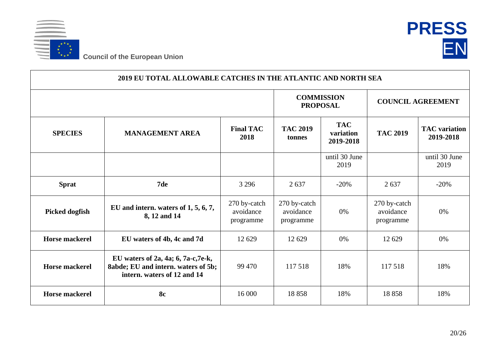



| 2019 EU TOTAL ALLOWABLE CATCHES IN THE ATLANTIC AND NORTH SEA |                                                                                                           |                                        |                                        |                                      |                                        |                                   |  |  |
|---------------------------------------------------------------|-----------------------------------------------------------------------------------------------------------|----------------------------------------|----------------------------------------|--------------------------------------|----------------------------------------|-----------------------------------|--|--|
|                                                               |                                                                                                           |                                        | <b>COMMISSION</b><br><b>PROPOSAL</b>   |                                      | <b>COUNCIL AGREEMENT</b>               |                                   |  |  |
| <b>SPECIES</b>                                                | <b>MANAGEMENT AREA</b>                                                                                    | <b>Final TAC</b><br>2018               | <b>TAC 2019</b><br>tonnes              | <b>TAC</b><br>variation<br>2019-2018 | <b>TAC 2019</b>                        | <b>TAC</b> variation<br>2019-2018 |  |  |
|                                                               |                                                                                                           |                                        |                                        | until 30 June<br>2019                |                                        | until 30 June<br>2019             |  |  |
| <b>Sprat</b>                                                  | 7de                                                                                                       | 3 2 9 6                                | 2637                                   | $-20%$                               | 2637                                   | $-20%$                            |  |  |
| <b>Picked dogfish</b>                                         | EU and intern. waters of $1, 5, 6, 7$ ,<br>8, 12 and 14                                                   | 270 by-catch<br>avoidance<br>programme | 270 by-catch<br>avoidance<br>programme | 0%                                   | 270 by-catch<br>avoidance<br>programme | $0\%$                             |  |  |
| <b>Horse mackerel</b>                                         | EU waters of 4b, 4c and 7d                                                                                | 12 629                                 | 12 629                                 | 0%                                   | 12 629                                 | 0%                                |  |  |
| <b>Horse mackerel</b>                                         | EU waters of 2a, 4a; 6, 7a-c, 7e-k,<br>8abde; EU and intern. waters of 5b;<br>intern. waters of 12 and 14 | 99 470                                 | 117 518                                | 18%                                  | 117518                                 | 18%                               |  |  |
| <b>Horse mackerel</b>                                         | <b>8c</b>                                                                                                 | 16 000                                 | 18858                                  | 18%                                  | 18858                                  | 18%                               |  |  |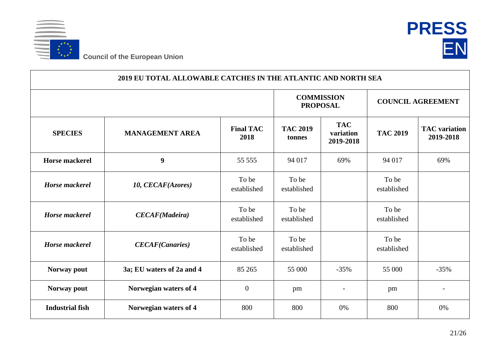



| 2019 EU TOTAL ALLOWABLE CATCHES IN THE ATLANTIC AND NORTH SEA |                           |                          |                                      |                                      |                          |                                   |  |  |
|---------------------------------------------------------------|---------------------------|--------------------------|--------------------------------------|--------------------------------------|--------------------------|-----------------------------------|--|--|
|                                                               |                           |                          | <b>COMMISSION</b><br><b>PROPOSAL</b> |                                      | <b>COUNCIL AGREEMENT</b> |                                   |  |  |
| <b>SPECIES</b>                                                | <b>MANAGEMENT AREA</b>    | <b>Final TAC</b><br>2018 | <b>TAC 2019</b><br>tonnes            | <b>TAC</b><br>variation<br>2019-2018 | <b>TAC 2019</b>          | <b>TAC</b> variation<br>2019-2018 |  |  |
| <b>Horse mackerel</b>                                         | 9                         | 55 555                   | 94 017                               | 69%                                  | 94 017                   | 69%                               |  |  |
| <b>Horse</b> mackerel                                         | 10, CECAF(Azores)         | To be<br>established     | To be<br>established                 |                                      | To be<br>established     |                                   |  |  |
| <b>Horse</b> mackerel                                         | <b>CECAF</b> (Madeira)    | To be<br>established     | To be<br>established                 |                                      | To be<br>established     |                                   |  |  |
| <b>Horse</b> mackerel                                         | <b>CECAF(Canaries)</b>    | To be<br>established     | To be<br>established                 |                                      | To be<br>established     |                                   |  |  |
| Norway pout                                                   | 3a; EU waters of 2a and 4 | 85 265                   | 55 000                               | $-35%$                               | 55 000                   | $-35%$                            |  |  |
| Norway pout                                                   | Norwegian waters of 4     | $\overline{0}$           | pm                                   |                                      | pm                       | $\qquad \qquad -$                 |  |  |
| <b>Industrial fish</b>                                        | Norwegian waters of 4     | 800                      | 800                                  | 0%                                   | 800                      | 0%                                |  |  |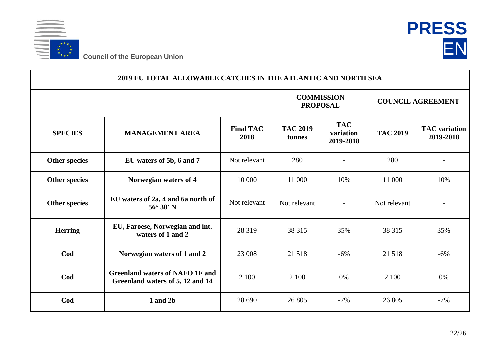



| 2019 EU TOTAL ALLOWABLE CATCHES IN THE ATLANTIC AND NORTH SEA |                                                                            |                          |                                      |                                      |                          |                                   |  |  |
|---------------------------------------------------------------|----------------------------------------------------------------------------|--------------------------|--------------------------------------|--------------------------------------|--------------------------|-----------------------------------|--|--|
|                                                               |                                                                            |                          | <b>COMMISSION</b><br><b>PROPOSAL</b> |                                      | <b>COUNCIL AGREEMENT</b> |                                   |  |  |
| <b>SPECIES</b>                                                | <b>MANAGEMENT AREA</b>                                                     | <b>Final TAC</b><br>2018 | <b>TAC 2019</b><br>tonnes            | <b>TAC</b><br>variation<br>2019-2018 | <b>TAC 2019</b>          | <b>TAC</b> variation<br>2019-2018 |  |  |
| <b>Other species</b>                                          | EU waters of 5b, 6 and 7                                                   | Not relevant             | 280                                  |                                      | 280                      |                                   |  |  |
| <b>Other species</b>                                          | Norwegian waters of 4                                                      | 10 000                   | 11 000                               | 10%                                  | 11 000                   | 10%                               |  |  |
| <b>Other species</b>                                          | EU waters of 2a, 4 and 6a north of<br>$56^\circ 30'$ N                     | Not relevant             | Not relevant                         |                                      | Not relevant             |                                   |  |  |
| <b>Herring</b>                                                | EU, Faroese, Norwegian and int.<br>waters of 1 and 2                       | 28 3 19                  | 38 315                               | 35%                                  | 38 315                   | 35%                               |  |  |
| Cod                                                           | Norwegian waters of 1 and 2                                                | 23 008                   | 21 5 18                              | $-6%$                                | 21 5 18                  | $-6%$                             |  |  |
| Cod                                                           | <b>Greenland waters of NAFO 1F and</b><br>Greenland waters of 5, 12 and 14 | 2 100                    | 2 100                                | 0%                                   | 2 100                    | 0%                                |  |  |
| Cod                                                           | 1 and 2b                                                                   | 28 690                   | 26 805                               | $-7%$                                | 26 805                   | $-7%$                             |  |  |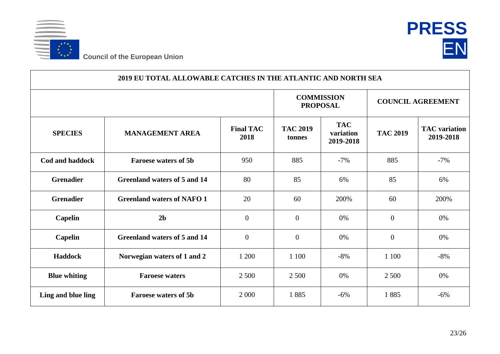



| 2019 EU TOTAL ALLOWABLE CATCHES IN THE ATLANTIC AND NORTH SEA |                                     |                          |                                      |                                      |                          |                                   |  |  |  |
|---------------------------------------------------------------|-------------------------------------|--------------------------|--------------------------------------|--------------------------------------|--------------------------|-----------------------------------|--|--|--|
|                                                               |                                     |                          | <b>COMMISSION</b><br><b>PROPOSAL</b> |                                      | <b>COUNCIL AGREEMENT</b> |                                   |  |  |  |
| <b>SPECIES</b>                                                | <b>MANAGEMENT AREA</b>              | <b>Final TAC</b><br>2018 | <b>TAC 2019</b><br>tonnes            | <b>TAC</b><br>variation<br>2019-2018 | <b>TAC 2019</b>          | <b>TAC</b> variation<br>2019-2018 |  |  |  |
| <b>Cod and haddock</b>                                        | <b>Faroese waters of 5b</b>         | 950                      | 885                                  | $-7%$                                | 885                      | $-7%$                             |  |  |  |
| <b>Grenadier</b>                                              | <b>Greenland waters of 5 and 14</b> | 80                       | 85                                   | 6%                                   | 85                       | 6%                                |  |  |  |
| <b>Grenadier</b>                                              | <b>Greenland waters of NAFO 1</b>   | 20                       | 60                                   | 200%                                 | 60                       | 200%                              |  |  |  |
| <b>Capelin</b>                                                | 2 <sub>b</sub>                      | $\overline{0}$           | $\overline{0}$                       | 0%                                   | $\overline{0}$           | 0%                                |  |  |  |
| <b>Capelin</b>                                                | Greenland waters of 5 and 14        | $\overline{0}$           | $\overline{0}$                       | 0%                                   | $\overline{0}$           | 0%                                |  |  |  |
| Haddock                                                       | Norwegian waters of 1 and 2         | 1 200                    | 1 100                                | $-8%$                                | 1 100                    | $-8%$                             |  |  |  |
| <b>Blue whiting</b>                                           | <b>Faroese waters</b>               | 2 500                    | 2 500                                | 0%                                   | 2 500                    | 0%                                |  |  |  |
| Ling and blue ling                                            | <b>Faroese waters of 5b</b>         | 2 0 0 0                  | 1885                                 | $-6%$                                | 1885                     | $-6%$                             |  |  |  |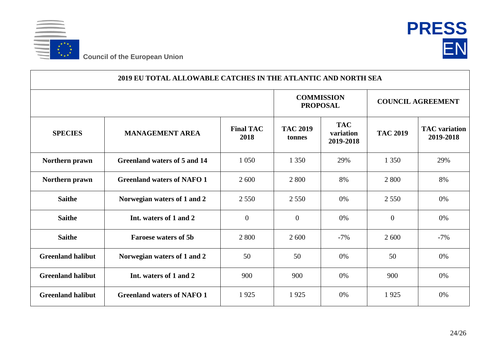



| 2019 EU TOTAL ALLOWABLE CATCHES IN THE ATLANTIC AND NORTH SEA |                                   |                          |                                      |                                      |                          |                                   |  |  |
|---------------------------------------------------------------|-----------------------------------|--------------------------|--------------------------------------|--------------------------------------|--------------------------|-----------------------------------|--|--|
|                                                               |                                   |                          | <b>COMMISSION</b><br><b>PROPOSAL</b> |                                      | <b>COUNCIL AGREEMENT</b> |                                   |  |  |
| <b>SPECIES</b>                                                | <b>MANAGEMENT AREA</b>            | <b>Final TAC</b><br>2018 | <b>TAC 2019</b><br>tonnes            | <b>TAC</b><br>variation<br>2019-2018 | <b>TAC 2019</b>          | <b>TAC</b> variation<br>2019-2018 |  |  |
| Northern prawn                                                | Greenland waters of 5 and 14      | 1 0 5 0                  | 1 3 5 0                              | 29%                                  | 1 3 5 0                  | 29%                               |  |  |
| Northern prawn                                                | <b>Greenland waters of NAFO 1</b> | 2 600                    | 2 800                                | 8%                                   | 2 800                    | 8%                                |  |  |
| <b>Saithe</b>                                                 | Norwegian waters of 1 and 2       | 2 5 5 0                  | 2 5 5 0                              | 0%                                   | 2 5 5 0                  | 0%                                |  |  |
| <b>Saithe</b>                                                 | Int. waters of 1 and 2            | $\overline{0}$           | $\overline{0}$                       | 0%                                   | $\overline{0}$           | 0%                                |  |  |
| <b>Saithe</b>                                                 | <b>Faroese waters of 5b</b>       | 2 8 0 0                  | 2 600                                | $-7%$                                | 2 600                    | $-7%$                             |  |  |
| <b>Greenland halibut</b>                                      | Norwegian waters of 1 and 2       | 50                       | 50                                   | 0%                                   | 50                       | 0%                                |  |  |
| <b>Greenland halibut</b>                                      | Int. waters of 1 and 2            | 900                      | 900                                  | 0%                                   | 900                      | 0%                                |  |  |
| <b>Greenland halibut</b>                                      | <b>Greenland waters of NAFO 1</b> | 1925                     | 1925                                 | 0%                                   | 1925                     | 0%                                |  |  |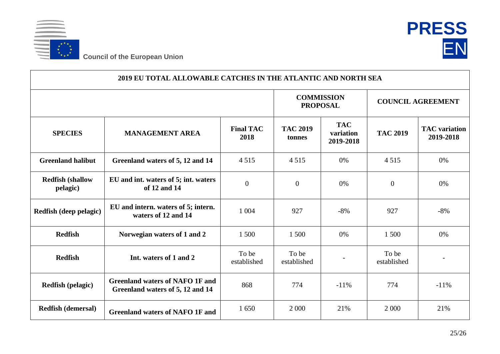



| 2019 EU TOTAL ALLOWABLE CATCHES IN THE ATLANTIC AND NORTH SEA |                                                                            |                          |                                      |                                      |                          |                                   |  |  |  |  |
|---------------------------------------------------------------|----------------------------------------------------------------------------|--------------------------|--------------------------------------|--------------------------------------|--------------------------|-----------------------------------|--|--|--|--|
|                                                               |                                                                            |                          | <b>COMMISSION</b><br><b>PROPOSAL</b> |                                      | <b>COUNCIL AGREEMENT</b> |                                   |  |  |  |  |
| <b>SPECIES</b>                                                | <b>MANAGEMENT AREA</b>                                                     | <b>Final TAC</b><br>2018 | <b>TAC 2019</b><br>tonnes            | <b>TAC</b><br>variation<br>2019-2018 | <b>TAC 2019</b>          | <b>TAC</b> variation<br>2019-2018 |  |  |  |  |
| <b>Greenland halibut</b>                                      | Greenland waters of 5, 12 and 14                                           | 4515                     | 4515                                 | 0%                                   | 4515                     | 0%                                |  |  |  |  |
| <b>Redfish (shallow</b><br>pelagic)                           | EU and int. waters of 5; int. waters<br>of 12 and 14                       | $\overline{0}$           | $\mathbf{0}$                         | 0%                                   | $\mathbf{0}$             | 0%                                |  |  |  |  |
| Redfish (deep pelagic)                                        | EU and intern. waters of 5; intern.<br>waters of 12 and 14                 | 1 0 0 4                  | 927                                  | $-8%$                                | 927                      | $-8%$                             |  |  |  |  |
| <b>Redfish</b>                                                | Norwegian waters of 1 and 2                                                | 1 500                    | 1 500                                | 0%                                   | 1 500                    | 0%                                |  |  |  |  |
| <b>Redfish</b>                                                | Int. waters of 1 and 2                                                     | To be<br>established     | To be<br>established                 |                                      | To be<br>established     |                                   |  |  |  |  |
| <b>Redfish (pelagic)</b>                                      | <b>Greenland waters of NAFO 1F and</b><br>Greenland waters of 5, 12 and 14 | 868                      | 774                                  | $-11\%$                              | 774                      | $-11%$                            |  |  |  |  |
| <b>Redfish (demersal)</b>                                     | <b>Greenland waters of NAFO 1F and</b>                                     | 1650                     | 2 0 0 0                              | 21%                                  | 2 0 0 0                  | 21%                               |  |  |  |  |